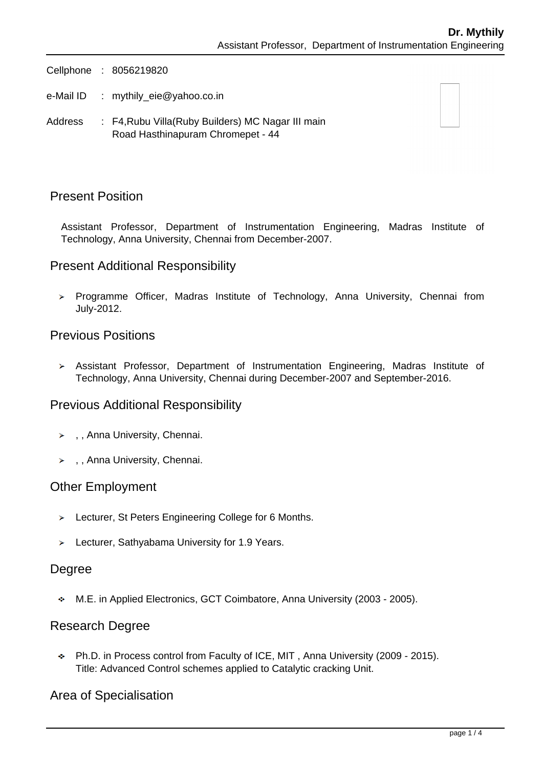Cellphone : 8056219820

- e-Mail ID : mythily eie@yahoo.co.in
- Address : F4, Rubu Villa (Ruby Builders) MC Nagar III main Road Hasthinapuram Chromepet - 44

### Present Position

Assistant Professor, Department of Instrumentation Engineering, Madras Institute of Technology, Anna University, Chennai from December-2007.

### Present Additional Responsibility

> Programme Officer, Madras Institute of Technology, Anna University, Chennai from July-2012.

### Previous Positions

Assistant Professor, Department of Instrumentation Engineering, Madras Institute of Technology, Anna University, Chennai during December-2007 and September-2016.

### Previous Additional Responsibility

- > , Anna University, Chennai.
- > , , Anna University, Chennai.

### Other Employment

- > Lecturer, St Peters Engineering College for 6 Months.
- > Lecturer, Sathyabama University for 1.9 Years.

### Degree

M.E. in Applied Electronics, GCT Coimbatore, Anna University (2003 - 2005).

### Research Degree

Ph.D. in Process control from Faculty of ICE, MIT , Anna University (2009 - 2015). Title: Advanced Control schemes applied to Catalytic cracking Unit.

### Area of Specialisation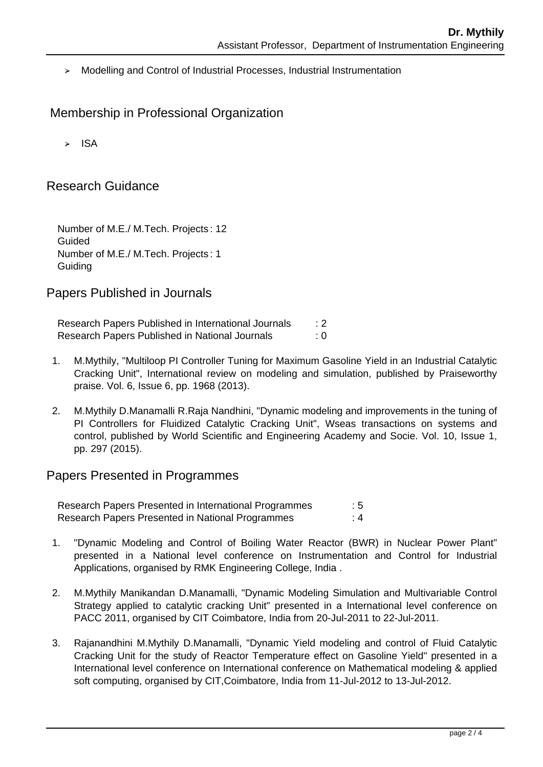Modelling and Control of Industrial Processes, Industrial Instrumentation

## Membership in Professional Organization

 $\triangleright$  ISA

### Research Guidance

Number of M.E./ M.Tech. Projects : 12 Guided Number of M.E./ M.Tech. Projects : 1 **Guiding** 

### Papers Published in Journals

Research Papers Published in International Journals : 2 Research Papers Published in National Journals : 0

- 1. M.Mythily, "Multiloop PI Controller Tuning for Maximum Gasoline Yield in an Industrial Catalytic Cracking Unit", International review on modeling and simulation, published by Praiseworthy praise. Vol. 6, Issue 6, pp. 1968 (2013).
- 2. M.Mythily D.Manamalli R.Raja Nandhini, "Dynamic modeling and improvements in the tuning of PI Controllers for Fluidized Catalytic Cracking Unit", Wseas transactions on systems and control, published by World Scientific and Engineering Academy and Socie. Vol. 10, Issue 1, pp. 297 (2015).

### Papers Presented in Programmes

Research Papers Presented in International Programmes : 5 Research Papers Presented in National Programmes : 4

- 1. "Dynamic Modeling and Control of Boiling Water Reactor (BWR) in Nuclear Power Plant" presented in a National level conference on Instrumentation and Control for Industrial Applications, organised by RMK Engineering College, India .
- 2. M.Mythily Manikandan D.Manamalli, "Dynamic Modeling Simulation and Multivariable Control Strategy applied to catalytic cracking Unit" presented in a International level conference on PACC 2011, organised by CIT Coimbatore, India from 20-Jul-2011 to 22-Jul-2011.
- 3. Rajanandhini M.Mythily D.Manamalli, "Dynamic Yield modeling and control of Fluid Catalytic Cracking Unit for the study of Reactor Temperature effect on Gasoline Yield" presented in a International level conference on International conference on Mathematical modeling & applied soft computing, organised by CIT,Coimbatore, India from 11-Jul-2012 to 13-Jul-2012.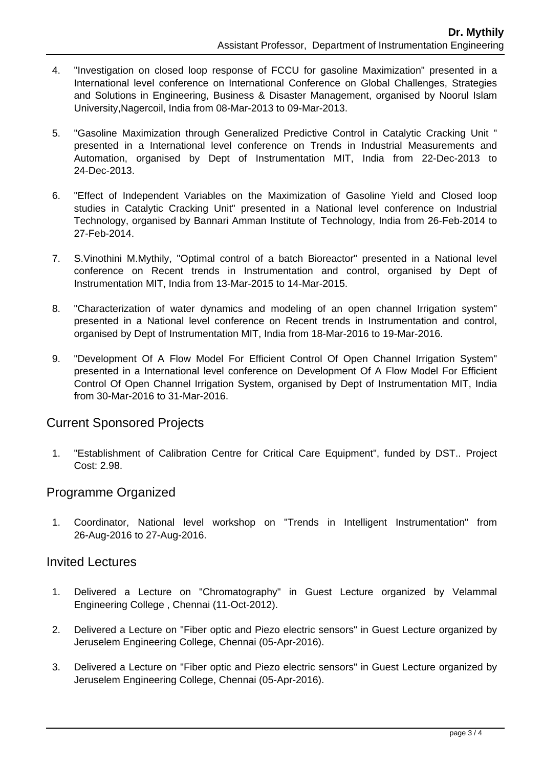- 4. "Investigation on closed loop response of FCCU for gasoline Maximization" presented in a International level conference on International Conference on Global Challenges, Strategies and Solutions in Engineering, Business & Disaster Management, organised by Noorul Islam University,Nagercoil, India from 08-Mar-2013 to 09-Mar-2013.
- 5. "Gasoline Maximization through Generalized Predictive Control in Catalytic Cracking Unit " presented in a International level conference on Trends in Industrial Measurements and Automation, organised by Dept of Instrumentation MIT, India from 22-Dec-2013 to 24-Dec-2013.
- 6. "Effect of Independent Variables on the Maximization of Gasoline Yield and Closed loop studies in Catalytic Cracking Unit" presented in a National level conference on Industrial Technology, organised by Bannari Amman Institute of Technology, India from 26-Feb-2014 to 27-Feb-2014.
- 7. S.Vinothini M.Mythily, "Optimal control of a batch Bioreactor" presented in a National level conference on Recent trends in Instrumentation and control, organised by Dept of Instrumentation MIT, India from 13-Mar-2015 to 14-Mar-2015.
- 8. "Characterization of water dynamics and modeling of an open channel Irrigation system" presented in a National level conference on Recent trends in Instrumentation and control, organised by Dept of Instrumentation MIT, India from 18-Mar-2016 to 19-Mar-2016.
- 9. "Development Of A Flow Model For Efficient Control Of Open Channel Irrigation System" presented in a International level conference on Development Of A Flow Model For Efficient Control Of Open Channel Irrigation System, organised by Dept of Instrumentation MIT, India from 30-Mar-2016 to 31-Mar-2016.

### Current Sponsored Projects

 1. "Establishment of Calibration Centre for Critical Care Equipment", funded by DST.. Project Cost: 2.98.

# Programme Organized

 1. Coordinator, National level workshop on "Trends in Intelligent Instrumentation" from 26-Aug-2016 to 27-Aug-2016.

### Invited Lectures

- 1. Delivered a Lecture on "Chromatography" in Guest Lecture organized by Velammal Engineering College , Chennai (11-Oct-2012).
- 2. Delivered a Lecture on "Fiber optic and Piezo electric sensors" in Guest Lecture organized by Jeruselem Engineering College, Chennai (05-Apr-2016).
- 3. Delivered a Lecture on "Fiber optic and Piezo electric sensors" in Guest Lecture organized by Jeruselem Engineering College, Chennai (05-Apr-2016).